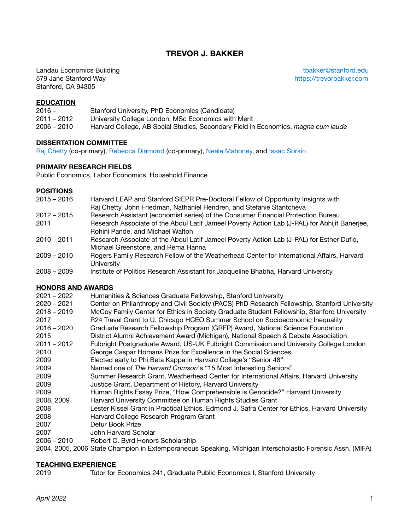# **TREVOR J. BAKKER**

**Landau Economics Building the Conomics of the Conomic Server Act of the Conomics Act of the Conomic Server Act of the Conomic Server Act of the Conomic Server Act of the Conomic Server Act of the Conomic Server Act of the** 579 Jane Stanford Way <https://trevorbakker.com> Stanford, CA 94305

#### **EDUCATION**

| $2016 -$      | Stanford University, PhD Economics (Candidate)                                    |
|---------------|-----------------------------------------------------------------------------------|
| $2011 - 2012$ | University College London, MSc Economics with Merit                               |
| $2006 - 2010$ | Harvard College, AB Social Studies, Secondary Field in Economics, magna cum laude |

#### **DISSERTATION COMMITTEE**

[Raj Chetty](http://www.rajchetty.com/) (co-primary), [Rebecca Diamond](https://www.rebecca-diamond.com/) (co-primary), [Neale Mahoney,](https://nmahoney.people.stanford.edu/) and [Isaac Sorkin](https://sites.google.com/site/isaacsorkin/home)

#### **PRIMARY RESEARCH FIELDS**

Public Economics, Labor Economics, Household Finance

#### **POSITIONS**

- 2015 2016 Harvard LEAP and Stanford SIEPR Pre-Doctoral Fellow of Opportunity Insights with Raj Chetty, John Friedman, Nathaniel Hendren, and Stefanie Stantcheva 2012 – 2015 Research Assistant (economist series) of the Consumer Financial Protection Bureau 2011 Research Associate of the Abdul Latif Jameel Poverty Action Lab (J-PAL) for Abhijit Banerjee, Rohini Pande, and Michael Walton 2010 – 2011 Research Associate of the Abdul Latif Jameel Poverty Action Lab (J-PAL) for Esther Duflo, Michael Greenstone, and Rema Hanna 2009 – 2010 Rogers Family Research Fellow of the Weatherhead Center for International Affairs, Harvard **University**
- 2008 2009 Institute of Politics Research Assistant for Jacqueline Bhabha, Harvard University

### **HONORS AND AWARDS**

| $2021 - 2022$ | Humanities & Sciences Graduate Fellowship, Stanford University                                 |
|---------------|------------------------------------------------------------------------------------------------|
| $2020 - 2021$ | Center on Philanthropy and Civil Society (PACS) PhD Research Fellowship, Stanford University   |
| $2018 - 2019$ | McCoy Family Center for Ethics in Society Graduate Student Fellowship, Stanford University     |
| 2017          | R24 Travel Grant to U. Chicago HCEO Summer School on Socioeconomic Inequality                  |
| $2016 - 2020$ | Graduate Research Fellowship Program (GRFP) Award, National Science Foundation                 |
| 2015          | District Alumni Achievement Award (Michigan), National Speech & Debate Association             |
| $2011 - 2012$ | Fulbright Postgraduate Award, US-UK Fulbright Commission and University College London         |
| 2010          | George Caspar Homans Prize for Excellence in the Social Sciences                               |
| 2009          | Elected early to Phi Beta Kappa in Harvard College's "Senior 48"                               |
| 2009          | Named one of The Harvard Crimson's "15 Most Interesting Seniors"                               |
| 2009          | Summer Research Grant, Weatherhead Center for International Affairs, Harvard University        |
| 2009          | Justice Grant, Department of History, Harvard University                                       |
| 2009          | Human Rights Essay Prize, "How Comprehensible is Genocide?" Harvard University                 |
| 2008, 2009    | Harvard University Committee on Human Rights Studies Grant                                     |
| 2008          | Lester Kissel Grant in Practical Ethics, Edmond J. Safra Center for Ethics, Harvard University |
| 2008          | Harvard College Research Program Grant                                                         |
| 2007          | Detur Book Prize                                                                               |
| 2007          | John Harvard Scholar                                                                           |
|               |                                                                                                |

2006 – 2010 Robert C. Byrd Honors Scholarship

2004, 2005, 2006 State Champion in Extemporaneous Speaking, Michigan Interscholastic Forensic Assn. (MIFA)

### **TEACHING EXPERIENCE**

2019 Tutor for Economics 241, Graduate Public Economics I, Stanford University